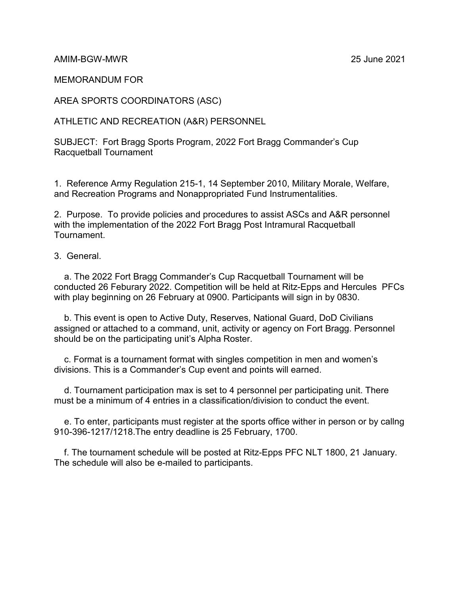AMIM-BGW-MWR 25 June 2021

MEMORANDUM FOR

AREA SPORTS COORDINATORS (ASC)

ATHLETIC AND RECREATION (A&R) PERSONNEL

SUBJECT: Fort Bragg Sports Program, 2022 Fort Bragg Commander's Cup Racquetball Tournament

1. Reference Army Regulation 215-1, 14 September 2010, Military Morale, Welfare, and Recreation Programs and Nonappropriated Fund Instrumentalities.

2. Purpose. To provide policies and procedures to assist ASCs and A&R personnel with the implementation of the 2022 Fort Bragg Post Intramural Racquetball Tournament.

3. General.

 a. The 2022 Fort Bragg Commander's Cup Racquetball Tournament will be conducted 26 Feburary 2022. Competition will be held at Ritz-Epps and Hercules PFCs with play beginning on 26 February at 0900. Participants will sign in by 0830.

 b. This event is open to Active Duty, Reserves, National Guard, DoD Civilians assigned or attached to a command, unit, activity or agency on Fort Bragg. Personnel should be on the participating unit's Alpha Roster.

 c. Format is a tournament format with singles competition in men and women's divisions. This is a Commander's Cup event and points will earned.

 d. Tournament participation max is set to 4 personnel per participating unit. There must be a minimum of 4 entries in a classification/division to conduct the event.

 e. To enter, participants must register at the sports office wither in person or by callng 910-396-1217/1218.The entry deadline is 25 February, 1700.

 f. The tournament schedule will be posted at Ritz-Epps PFC NLT 1800, 21 January. The schedule will also be e-mailed to participants.